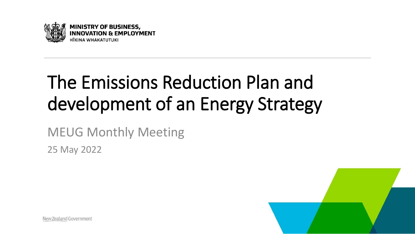

# The Emissions Reduction Plan and development of an Energy Strategy

MEUG Monthly Meeting

25 May 2022



New Zealand Government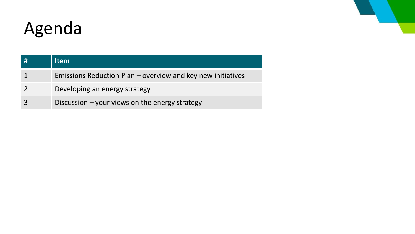## Agenda

| # | <b>Item</b>                                                 |
|---|-------------------------------------------------------------|
|   | Emissions Reduction Plan – overview and key new initiatives |
|   | Developing an energy strategy                               |
|   | Discussion $-$ your views on the energy strategy            |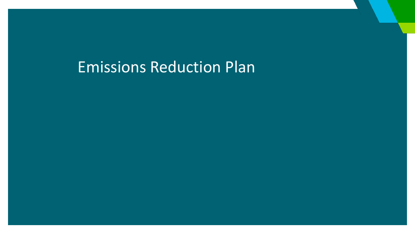### Emissions Reduction Plan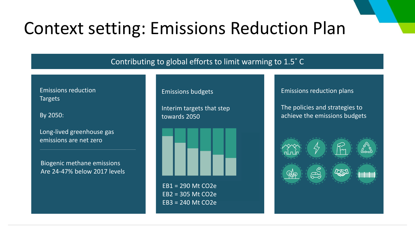### Context setting: Emissions Reduction Plan

#### Contributing to global efforts to limit warming to 1.5˚ C

Emissions reduction Targets

By 2050:

Long-lived greenhouse gas emissions are net zero

Biogenic methane emissions Are 24-47% below 2017 levels

#### Emissions budgets

Interim targets that step towards 2050



EB1 = 290 Mt CO2e EB2 = 305 Mt CO2e EB3 = 240 Mt CO2e

#### Emissions reduction plans

The policies and strategies to achieve the emissions budgets

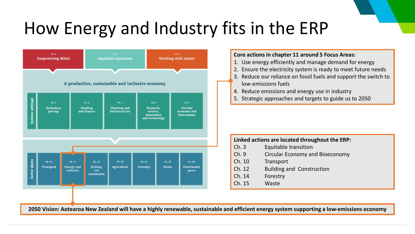### How Energy and Industry fits in the ERP



#### **Core actions in chapter 11 around 5 Focus Areas:**

- 1. Use energy efficiently and manage demand for energy
- 2. Ensure the electricity system is ready to meet future needs
- 3. Reduce our reliance on fossil fuels and support the switch to low-emissions fuels
- 4. Reduce emissions and energy use in industry
- 5. Strategic approaches and targets to guide us to 2050

| Linked actions are located throughout the ERP: |                                        |  |  |
|------------------------------------------------|----------------------------------------|--|--|
| Ch.3                                           | Equitable transition                   |  |  |
| Ch.9                                           | <b>Circular Economy and Bioeconomy</b> |  |  |
| Ch. 10                                         | Transport                              |  |  |
| Ch. 12                                         | <b>Building and Construction</b>       |  |  |
| Ch. 14                                         | Forestry                               |  |  |
| Ch. 15                                         | Waste                                  |  |  |

**2050 Vision: Aotearoa New Zealand will have a highly renewable, sustainable and efficient energy system supporting a low-emissions economy**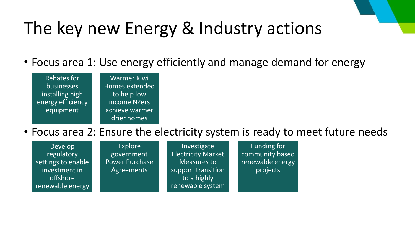# The key new Energy & Industry actions

• Focus area 1: Use energy efficiently and manage demand for energy

| <b>Rebates for</b> | <b>Warmer Kiwi</b>    |
|--------------------|-----------------------|
| businesses         | <b>Homes extended</b> |
| installing high    | to help low           |
| energy efficiency  | income NZers          |
| equipment          | achieve warmer        |
|                    | drier homes           |

### • Focus area 2: Ensure the electricity system is ready to meet future needs

| Develop            | Explore               | Investigate               | Funding for      |  |
|--------------------|-----------------------|---------------------------|------------------|--|
| regulatory         | government            | <b>Electricity Market</b> | community based  |  |
| settings to enable | <b>Power Purchase</b> | <b>Measures to</b>        | renewable energy |  |
| investment in      | Agreements            | support transition        | projects         |  |
| offshore           |                       | to a highly               |                  |  |
| renewable energy   |                       | renewable system          |                  |  |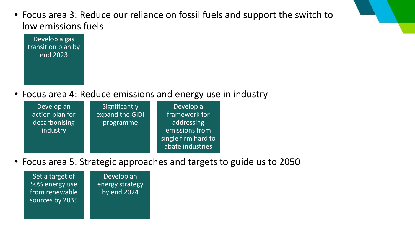• Focus area 3: Reduce our reliance on fossil fuels and support the switch to low emissions fuels



• Focus area 4: Reduce emissions and energy use in industry

| Develop an      | Significantly   | Develop a           |
|-----------------|-----------------|---------------------|
| action plan for | expand the GIDI | framework for       |
| decarbonising   | programme       | addressing          |
| industry        |                 | emissions from      |
|                 |                 | single firm hard to |
|                 |                 | abate industries    |

• Focus area 5: Strategic approaches and targets to guide us to 2050

Set a target of 50% energy use from renewable sources by 2035

Develop an energy strategy by end 2024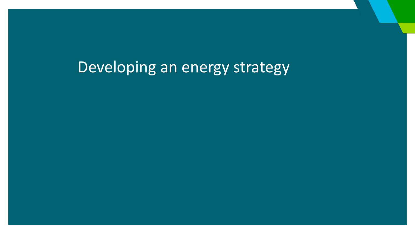### Developing an energy strategy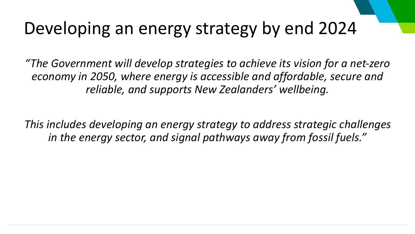## Developing an energy strategy by end 2024

*"The Government will develop strategies to achieve its vision for a net-zero economy in 2050, where energy is accessible and affordable, secure and reliable, and supports New Zealanders' wellbeing.* 

*This includes developing an energy strategy to address strategic challenges in the energy sector, and signal pathways away from fossil fuels."*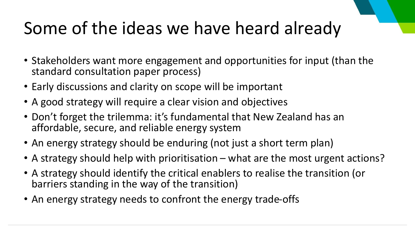# Some of the ideas we have heard already

- Stakeholders want more engagement and opportunities for input (than the standard consultation paper process)
- Early discussions and clarity on scope will be important
- A good strategy will require a clear vision and objectives
- Don't forget the trilemma: it's fundamental that New Zealand has an affordable, secure, and reliable energy system
- An energy strategy should be enduring (not just a short term plan)
- A strategy should help with prioritisation what are the most urgent actions?
- A strategy should identify the critical enablers to realise the transition (or barriers standing in the way of the transition)
- An energy strategy needs to confront the energy trade-offs